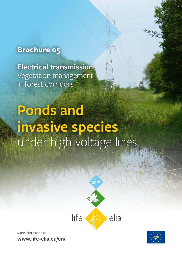# **Brochure 05**

**Electrical transmission**  Vegetation management in forest corridors

# **Ponds and invasive species** under high-voltage lines



More information at **www.life-elia.eu/en/**

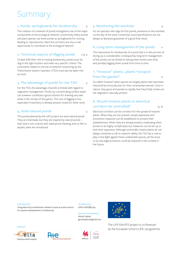# Summary

## **1. Ponds: springboards for biodiversity** 4

The creation of a network of ponds strengthens one of the major components of the ecological network: connectivity. Many animal and plant species use these ponds as springboards for moving, feeding or reproduction. Electrical corridors are thus a real opportunity to contribute to the ecological network.

# **2. Technical aspects of digging ponds** 7, 8, 9

To best fulfil their role in hosting biodiversity, ponds must be dug in the right location and meet very specific criteria. The constraints related to the job of network monitoring by the Transmission System Operator (TSO) must also be taken into account.

# **3. The advantage of ponds for the TSO** 5

For the TSO, the advantage of ponds is limited with regard to vegetation management. Ponds, by concentrating surface water, can however constitute a good solution for draining very wet areas in the vicinity of the pylons. The cost of digging is low, especially if machinery is already present onsite for other work.

### **4. Semi-natural ponds** 5

The ponds planned by the LIFE project are semi-natural ponds. They are manmade, but they are inspired by natural ponds : their bed is not covered with waterproof sheeting, and no fish or aquatic plant are introduced.

# **5. Monitoring the worksite**

For an operator who digs his first ponds, presence on the worksite on the day of the work is essential. Good specifications are not always an absolute guarantee of a good final result.

#### **6. Long-term management of the ponds**

The importance for biodiversity of a pond that is in the process of drying up is considerable. Consequently, long-term management of the ponds can be limited to letting them evolve over time, and possibly digging other ponds from time to time.

# **7. "Invasive" plants…plants "escaped from the garden"** 12

So-called "invasive" plant species are largely plants that have been imported by horticulturists for their ornamental interest. Once in nature, they grow and spread so rapidly that they finally choke out the vegetation naturally present.

# **8. Should invasive plants in electrical corridors be controlled?** 13, 16

Electrical corridors can be corridors for the spread of invasive plants. When they are not present, simple awareness and prevention measures can be established to prevent their establishment. When they are already present, eradicating them proves to be highly complicated, but measures can be set up to limit their expansion. Although technically invasive plants do not always constitute a risk to network safety, the TSO has a role to play in this fight against these undesirable species, all the more so as new legal provisions could be imposed in this context in the future.

#### **LIFE Elia-RTE**

Using electricity transmission network routes as active vectors for positive developments in biodiversity

**CE Reference** LIFE10 NAT/BE/709

**General Coordination**  Gérard Jadoul gerard.jadoul@gmail.com



**Partners** The LIFE Elia-RTE project is co-financed by the European Union's LIFE+ programme.







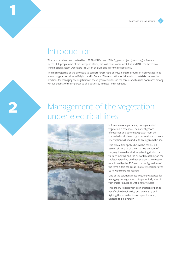# Introduction

**1**

**2**

This brochure has been drafted by LIFE Elia-RTE's team. This 6.5 year project (2011-2017) is financed by the LIFE programme of the European Union, the Walloon Government, Elia and RTE, the latter two Transmission System Operators (TSOs) in Belgium and in France respectively.

The main objective of the project is to convert forest right-of-ways along the routes of high-voltage lines into ecological corridors in Belgium and in France. The restoration activities aim to establish innovative practices for managing the vegetation in these green corridors in the forest, and to raise awareness among various publics of the importance of biodiversity in these linear habitats.

# Management of the vegetation under electrical lines



In forest areas in particular, management of vegetation is essential. The natural growth of seedlings and other new growth must be controlled at all times to guarantee that no current interruption will occur due to arcing from the line.

This precaution applies below the cables, but also on either side of them, to take account of swaying due to the wind, lengthening during the warmer months, and the risk of trees falling on the cables. Depending on the precautionary measures established by the TSO and the configurations of the terrain, this can result in a safety corridor over 50 m wide to be maintained.

One of the solutions most frequently adopted for managing the vegetation is to periodically clear it with tractor equipped with a rotary cutter.

This brochure deals with both creation of ponds, beneficial to biodiversity, and preventing and fighting the spread of invasive plant species, a hazard to biodiversity.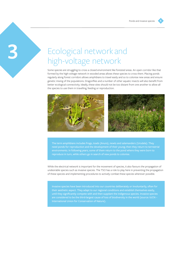

# **3** Ecological network and **4** high-voltage network

Some species are struggling to cross a closed environment like forested areas. An open corridor like that formed by the high-voltage network in wooded areas allows these species to cross them. Placing ponds regularly along forest corridors allows amphibians to travel easily and so to colonise new areas and ensure genetic mixing of the populations. Dragonflies and a number of other aquatic insects will also benefit from better ecological connectivity. Ideally, these sites should not be too distant from one another to allow all the species to use them in travelling, feeding or reproduction.



The term amphibians includes frogs, toads (Anura), newts and salamanders (Urodela). They need ponds for reproduction and the development of their young; then they return to terrestrial environments. In following years, some of them return to the pond where they were born to

While the electrical network is important for the movement of species, it also favours the propagation of undesirable species such as invasive species. The TSO has a role to play here in preventing the propagation of these species and implementing procedures to actively combat these species wherever possible.

their aesthetic aspect. They adapt to our regional conditions and establish themselves easily, until they significantly compete with and then supplant the indigenous species. Invasive species are considered to be the third-largest cause of loss of biodiversity in the world (source: IUCN –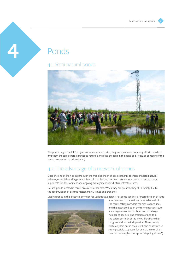# Ponds

**4**

# 4.1. Semi-natural ponds



The ponds dug in the LIFE project are semi-natural; that is, they are manmade, but every effort is made to give them the same characteristics as natural ponds (no sheeting in the pond bed, irregular contours of the banks, no species introduced, etc.).

# 4.2. The advantage of a network of ponds

Since the end of the 90s in particular, the free dispersion of species thanks to interconnected natural habitats, essential for the genetic mixing of populations, has been taken into account more and more in projects for development and ongoing management of industrial infrastructures.

Natural ponds located in forest areas are rather rare. When they are present, they fill in rapidly due to the accumulation of organic matter, mainly leaves and branches.

Digging ponds in the electrical corridor has various advantages. For some species, a forested region of large



area can seem to be an insurmountable wall. So the forest safety corridors for high-voltage lines and the associated open environments constitute advantageous routes of dispersion for a large number of species. The creation of ponds in the safety corridor of the line will facilitate their progress and so their dispersion. These ponds, preferably laid out in chains, will also constitute so many possible stopovers for animals in search of new territories (the concept of "stepping stones").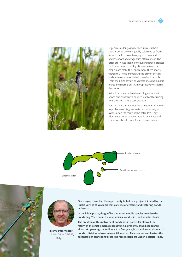

In general, as long as water accumulates there rapidly, ponds are very quickly colonised by fauna. Among the first colonisers, aquatic bugs and beetles, newts and dragonflies often appear. The latter are in fact capable of covering large distances rapidly and so can quickly discover a new pond. Amphibians make their appearance there shortly thereafter. These animals are the prey of certain birds, so an entire food chain benefits from this. From the point of view of vegetation, algae, aquatic plants and shore plants will progressively establish themselves.

Aside from their undeniable ecological interest, ponds also constituent an excellent tool for raising awareness on nature conservation.

For the TSO, these ponds are sometimes an answer to problems of stagnant water in the vicinity of pylons or on the route of the patrollers. They allow water to be concentrated in one place and consequently help drain these too-wet areas.







**Thierry Paternoster**, biologist, SPW- DEMNA, Belgium

**Since 1999, I have had the opportunity to follow a project initiated by the Public Service of Wallonia that consists of creating and restoring ponds in forests.**

**In the initial phase, dragonflies and other mobile species colonise the ponds dug. Then come the amphibians, caddisflies, and aquatic plants.**

**The creation of this network of ponds has in particular allowed the return of the small emerald spreadwing, a dragonfly that disappeared almost 60 years ago in Wallonia. In a few years, it has colonised dozens of ponds… distributed over several kilometres. This success emphasises the advantage of connecting areas like forest corridors under electrical lines.**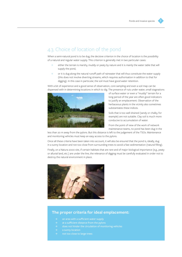# 4.3. Choice of location of the pond

When a semi-natural pond is to be dug, the decisive criterion in the choice of location is the possibility of a natural and regular water supply. This criterion is generally met in two particular cases:

- either the terrain is marshy, muddy or peaty by nature and it is mainly the water table that will supply the pond,
- ȝ or it is dug along the natural runoff path of rainwater that will thus constitute the water supply (this does not involve diverting streams, which requires authorisation in addition to that for digging). In this case in particular, the soil must have good water retention.

With a bit of experience and a good sense of observation, core sampling and even a soil map can be dispensed with in determining locations in which to dig. The presence of ruts under water, small stagnations



of surface water or even a "muddy" terrain for a long period of the year are often good indicators to justify an emplacement. Observation of the herbaceous plants in the vicinity also sometimes substantiates these indices.

Soils that is too well drained (sandy or chalky, for example) are not suitable. Clay soil is much more conducive to accumulation of water.

From the point of view of the work of network maintenance teams, no pond has been dug in the

less than 20 m away from the pylons. But this distance is left to the judgement of the TSOs. Maintenance and monitoring vehicles must keep an easy access to the pylons.

Once all these criteria have been taken into account, it will also be ensured that the pond is, ideally, dug in a sunny location and not too close from surrounding trees to avoid a fast sedimentation (natural filling).

Finally, on a Natura 2000 site, if certain habitats that are rare and of major biological importance (e.g., peaty or alluvial land, etc.) are under the line, the relevance of digging must be carefully evaluated in order not to destroy the natural environment in place.



# **The proper criteria for ideal emplacement:**

- an area with a sufficient water supply
- at a sufficient distance from the pylons
- 
- 
- $\rightarrow$  not too close to large trees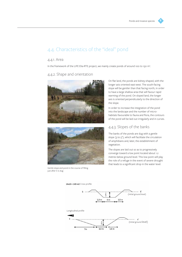

# 4.4. Characteristics of the "ideal" pond

# 4.4.1. Area

In the framework of the LIFE Elia-RTE project, we mainly create ponds of around 100 to 150 m<sup>2</sup>. .

### 4.4.2. Shape and orientation





Gentle slope and pond in the course of filling just after it is dug

On flat land, the ponds are kidney-shaped, with the longer axis oriented east-west. The south-facing slope will be gentler than that facing north, in order to have a large shallow area that will favour rapid warming of the pond. On sloped land, the longer axis is oriented perpendicularly to the direction of the slope.

In order to increase the integration of the pond into the landscape and the number of microhabitats favourable to fauna and flora, the contours of the pond will be laid out irregularly and in curves.

# 4.4.3. Slopes of the banks

The banks of the ponds are dug with a gentle slope (3 to  $5^\circ$ ), which will facilitate the circulation of amphibians and, later, the establishment of vegetation.

The slopes are laid out so as to progressively converge toward a low point located about 1.2 metres below ground level. This low point will play the role of a refuge in the event of severe drought that leads to a significant drop in the water level.

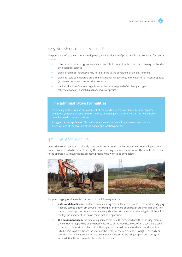# 4.4.5. No fish or plants introduced!

The ponds are left to their natural development, and introduction of plants and fish is prohibited for several reasons:

- $\rightarrow$  fish consume insects, eggs of amphibians and plants present in the pond, thus causing troubles for the ecological balance
- $\rightarrow$  plants or animals introduced may not be suited to the conditions of the environment
- $\rightarrow$  plants for sale commercially are often ornamental varieties (e.g. pink water lily) or invasive species (e.g. water pennywort, water primrose, etc.).
- $\rightarrow$  the introduction of various organisms can lead to the spread of virulent pathogens (chytridiomycosis in amphibians) and invasive species.

# **The administrative formalities**

Depending on the size and emplacement of the ponds, a permit can sometimes be required by national, regional or local administrations. Depending on the country, the TSO will ensure compliance with these provisions.

A digging permit application file can include an environmental impact assessment notice, specifications of the location of the ponds, and location photos.

# 4.5. The earthworks

Unless the works operator has already done semi-natural ponds, the best way to ensure that high-quality work is produced is to be present the day the ponds are dug to advise the operator. The specifications sent to the operators will nevertheless delineate precisely the work to be conducted.



The pond digging work must take account of the following aspects:

- **dates and deadlines:** in order to avoid creating ruts on the access paths to the worksite, digging is ideally carried out on dry ground (for example, after 15/08 or on frozen ground). This provision is even more important when water is already abundant at the surface before digging. If the soil is muddy, the stability of the banks can in fact be jeopardised.
- ȝ **the equipment used:** the type of equipment can be either imposed or left to the judgement of the contractor depending on the specific features of the worksite. Most often a backhoe is used to perform the work. In order to limit the impact on the soil, points to which special attention is to be paid in particular are the width of the treads of the vehicle and its weight. Especially on sensitive soils, it is necessary to take precautionary measures like using organic oils, having an anti-pollution kit with in particular sorbent booms, etc.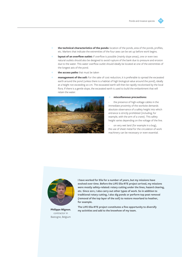- ȝ **the technical characteristics of the ponds:** location of the ponds, area of the ponds, profiles, etc. Markers that indicate the extremities of the four axes can be set up before work begins.
- **layout of an overflow outlet:** if overflow is possible (mainly slope areas), one or even two natural outlets should also be designed to avoid rupture of the bank due to pressure and erosion due to the water. This water overflow outlet should ideally be located at one of the extremities of the longest axis of the pond.
- $\rightarrow$  **the access paths** that must be taken
- $\rightarrow$  **management of the soil:** For the sake of cost reduction, it is preferable to spread the excavated earth around the pond (unless there is a habitat of high biological value around the pond), ideally at a height not exceeding 20 cm. The excavated earth will then be rapidly recolonised by the local flora. If there is a gentle slope, the excavated earth is used to build the embankment that will retain the water.



#### ȝ **miscellaneous precautions:**

the presence of high-voltage cables in the immediate proximity of the worksite demands absolute observance of a safety height into which entrance is strictly prohibited (including, for example, with the arm of a crane). This safety height varies depending on the voltage of the line.

on very wet land (for example in a bog), the use of sheet metal for the circulation of work machinery can be necessary or even essential.



contractor in Bastogne, Belgium

**I have worked for Elia for a number of years, but my missions have evolved over time. Before the LIFE Elia-RTE project arrived, my missions were mostly safety-related: rotary cutting under the lines, hazard clearing, etc. Since 2011, I also carry out other types of work. So in addition to traditional rotary cutting, I also dig ponds or perform top peat removal (removal of the top layer of the soil) to restore moorland to heather, for example.**

**The LIFE Elia-RTE project constitutes a fine opportunity to diversify Philippe Mignon**, **my activities and add to the knowhow of my team.**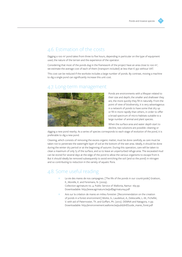# 4.6. Estimation of the costs

Digging a 100 m<sup>2</sup> pond takes from three to five hours, depending in particular on the type of equipment used, the nature of the terrain and the experience of the operator.

Considering that most of the ponds dug in the framework of the project have an area close to 100 m<sup>2</sup>, we estimate the average cost of each of them (transport included) at less than € 350 without VAT.

This cost can be reduced if the worksite includes a large number of ponds. By contrast, moving a machine to dig a single pond can significantly increase this unit cost.

# 4.7. Long-term management



Ponds are environments with a lifespan related to their size and depth; the smaller and shallower they are, the more quickly they fill in naturally. From the point of view of biodiversity, it is very advantageous in a network of ponds to have some that dry up or fill in more rapidly than others, in order to offer a broad spectrum of micro-habitats suitable to a large number of animal and plant species.

When the surface area and water depth start to decline, two solutions are possible: cleaning or

digging a new pond nearby. As a series of species corresponds to each stage of evolution of the pond, it is preferable to dig a new pond.

Cleaning, which consists of removing the excess organic matter, must be done carefully, as care must be taken not to penetrate the watertight layer of soil at the bottom of the wet area. Ideally, it should be done during the winter dry period or at the beginning of autumn. During this operation, care will be taken to clean a maximum of only ¾ of the surface, and so to leave an unperturbed refuge area. The excavated mud can be stored for several days at the edge of the pond to allow the various organisms to escape from it. But it should ideally be removed subsequently to avoid enriching the soil (and so the pond) in nitrogen and so contributing to reduction in the variety of aquatic flora.

# 4.8. Some useful reading

- La vie des mares de nos campagnes. [The life of the ponds in our countryside] Graitson, E., Morelle, K. and Feremans, N. (2009). Collection agrinature no. 4. Public Service of Wallonia, Namur. 169 pp. Downloadable: http://www.agrinature.be/pdf/agrinature4.pdf
- ȝ Avis sur la création de mares en milieu forestier. [Recommendation on the creation of ponds in a forest environment] Motte, G., Laudelout, A., Delescaille, L.-M., Fichefet, V. with aid of Paternoster, Th. and Goffart, Ph. (2012). DEMNA and Natagora, 11 pp. Downloadable: http://environnement.wallonie.be/publi/dnf/Guide\_mares\_foret.pdf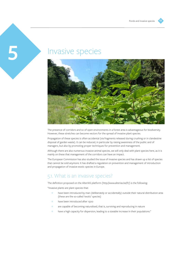

# Invasive species

**5**



The presence of corridors and so of open environments in a forest area is advantageous for biodiversity. However, these stretches can become vectors for the spread of invasive plant species.

Propagation of these species is often accidental (via fragments released during crushing or in clandestine disposal of garden waste). It can be reduced, in particular by raising awareness of the public and of managers, but also by promoting proper techniques for prevention and management.

Although there are also numerous invasive animal species, we will only deal with plant species here, as it is mainly on these that management of the corridors can have an impact.

The European Commission has also studied the issue of invasive species and has drawn up a list of species that cannot be sold anymore. It has drafted a regulation on prevention and management of introduction and propagation of invasive exotic species in Europe.

# 5.1. What is an invasive species?

The definition proposed on the AlterIAS platform (http://www.alterias.be/fr/) is the following:

"Invasive plants are plant species that:

- ȝ have been introduced by man (deliberately or accidentally) outside their natural distribution area (these are the so-called 'exotic' species)
- $\rightarrow$  have been introduced after 1500
- $\rightarrow$  are capable of becoming naturalised, that is, surviving and reproducing in nature
- $\rightarrow$  have a high capacity for dispersion, leading to a sizeable increase in their populations."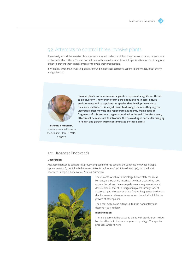# 5.2. Attempts to control three invasive plants

Fortunately, not all the invasive plant species are found under the high-voltage network, but some are more problematic than others. This section will deal with several species to which special attention must be given, either to prevent their establishment or to avoid their propagation.

In Wallonia, three main invasive plants are found in electrical corridors: Japanese knotweeds, black cherry and goldenrod.



**Invasive plants - or invasive exotic plants - represent a significant threat to biodiversity. They tend to form dense populations in semi-natural environments and to supplant the species that develop there. Once they are established it is very difficult to dislodge them, as they regrow vigorously after mowing and regenerate abundantly from seeds or fragments of subterranean organs contained in the soil. Therefore every effort must be made not to introduce them, avoiding in particular bringing in fill dirt and garden waste contaminated by these plants.**

**Etienne Branquart**, Interdepartmental invasive species unit, SPW-DEMNA, Belgium

# 5.2.1. Japanese knotweeds

#### **Description**

Japanese knotweeds constitute a group composed of three species: the Japanese knotweed Fallopia japonica *(Houtt.)*, the Sakhalin knotweed *Fallopia sachalinensis (F. Schmidt Petrop.)*, and the hybrid knotweed Fallopia X bohemica *(Chrtek & Chrtkova*).



These plants, which with their large hollow stalk can recall bamboo, are extremely invasive. They have a sprawling root system that allows them to rapidly create very extensive and dense colonies that stifle indigenous plants through lack of access to light. This supremacy is further heightened by the fact that knotweeds release substances into the soil that inhibit the growth of other plants.

Their root system can extend up to 25 m horizontally and descend 3 to 7 m deep.

#### **Identification**

These are perennial herbaceous plants with sturdy erect hollow bamboo-like stalks that can range up to 4 m high. The species produces white flowers.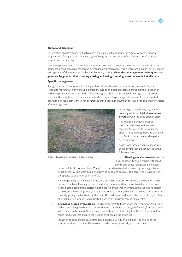

#### **Threat and dispersion**

The greatest problem posed by knotweeds is their substantial capacity for vegetative regeneration; a fragment of a few grams of rhizome (a type of root) or stalk (especially if it includes a node) suffices to give rise to a new plant!

Knotweed populations thus have a tendency to expand step by step via projections of fragments or the accidental deposition of pieces spread by management machinery. This is therefore a major risk in standard management of the vegetation under lines by rotary cutting. **Given this, management techniques that generate fragments, that is, rotary cutting and string trimming, must be avoided at all costs.**

#### **Specific management**

A large number of management techniques have already been tested almost everywhere in Europe (repeated mowing with or without exportation, cutting and herbicide treatment combined, injection of herbicide product alone, control with fire, sheeting, etc.) but to date none has managed to irreversibly eradicate the populations in place, especially when they are large. In a good number of the cases cited above, the effect is sometimes even contrary to that desired; the number of stalks or their density increases after management!



Knotweed grazed and trampled by a flock of sheep

Under high-voltage lines, any type of crushing will be prohibited **in a radius of 5 m** around the population in place.

The area to be avoided must be delimited with coloured markers or tape and the methods for avoidance cited in Knotweeds grazed and trampled by a flock of red Ardennes sheep the specifications.

Aside from these preventive measures, active control can be conducted in the following cases:

ȝ **Plantings in a knotweed area:** for this purpose, indigenous shrubs with rapid growth and dense foliage can be planted

in the middle of knotweed beds. The aim is to get ahead of the knotweed by creating a shade situation that will be unfavourable to them as quickly as possible. The hazel tree is undoubtedly the species to be preferred in this case.

A dense planting can be made on the basis of one plant every 50 cm along the line and 1 metre between the lines. Planting will be done during the winter, after the knotweed is removed and heaped at the edge of the corridor. In the course of the first two years, it may also be necessary to extricate the shrubs planted, so that they are not submerged under knotweed. This is done by manually pulling the knotweed at the base. The stalks removed must either be left to dry in place and then burned, or conveyed (sheeted load) to an industrial composting centre.

ȝ **Knotweed grazed by livestock:** On sites highly infested with knotweed, fencing off the area in order to let it be grazed can also be considered. The choice of the type of fence (fixed or mobile) will depend on the size of the knotweed population, the ideal being that the livestock have few other food resources and are constrained to consume the knotweed.

However, as beds of knotweed offer little plant life diversity by definition, the choice of the species to allow to graze will lean toward hardy species, especially goats and sheep.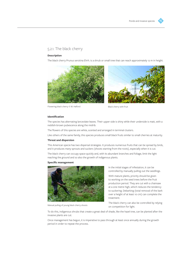# 5.2.1. The black cherry

#### **Description**

The black cherry Prunus serotina Ehrh. is a shrub or small tree that can reach approximately 12 m in height.





Flowering black cherry © M. Halford Black cherry with fruit

#### **Identification**

The species has alternating lanceolate leaves. Their upper side is shiny while their underside is matt, with a reddish-brown pubescence along the midrib.

The flowers of this species are white, scented and arranged in terminal clusters.

Like others of the same family, this species produces small black fruits similar to small cherries at maturity.

#### **Threat and dispersion**

This American specie has two dispersal strategies. It produces numerous fruits that can be spread by birds, and it produces many sprouts and suckers (shoots starting from the roots), especially when it is cut.

The black cherry can occupy space quickly and, with its abundant branches and foliage, limit the light reaching the ground and so also the growth of indigenous plants.

#### **Specific management**



Manual pulling of young black cherry shoots

In the initial stages of infestation, it can be controlled by manually pulling out the seedlings.

With mature plants, priority should be given to working on the seed trees before the fruit production period. They are cut with a chainsaw at a one metre high, which reduces the tendency to suckering. Debarking (total removal of the bark over a height of at least 10 cm) can complete the treatment.

The black cherry can also be controlled by relying on competition for light.

To do this, indigenous shrubs that create a great deal of shade, like the hazel tree, can be planted after the invasive plants are cut.

Once management has begun, it is imperative to pass through at least once annually during the growth period in order to repeat the process.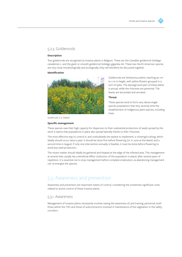

# 5.2.3. Goldenrods

#### **Description**

Two goldenrods are recognised as invasive plants in Belgium. These are the Canadian goldenrod Solidago canadensis L. and the giant or smooth goldenrod *Solidago gigantea* Ait. These two North American species are very close morphologically and ecologically; they will therefore be discussed together.

#### **Identification**



Goldenrods are herbaceous plants reaching 50 cm to 2 m in height, with yellow flowers grouped in a sort of spike. The aboveground part of these plants is annual, while the rhizomes are perennial. The leaves are lanceolate and serrated.

#### **Threat**

These species tend to form very dense singlespecies populations that very severely limit the establishment of indigenous plant species, including trees.

Goldenrods © E. Delbart

#### **Specific management**

These species owe their high capacity for dispersion to their substantial production of seeds spread by the wind. It seems that populations in place also spread laterally thanks to their rhizomes.

The most effective way to control it, and undoubtedly the easiest to implement, is mowing/crushing, which ideally should occur twice a year. It should be done first before flowering (or in June at the latest) and a second time in August. If only one intervention annually is feasible, it must be done before flowering to avoid any seed production.

The mown matter should ideally be gathered and heaped at the edge of the infested area. This management at several sites usually has a beneficial effect (reduction of the population in place) after several years of repetition. It is essential not to stop management before complete eradication, as abandoning management can re-energise the species.

# 5.3. Awareness and prevention

Awareness and prevention are important means of control, considering the sometimes significant costs related to active control of these invasive plants.

#### 5.3.1. Awareness

Management of invasive plants necessarily involves raising the awareness of, and training, personnel, both those within the TSO and those of subcontractors involved in maintenance of the vegetation in the safety corridors.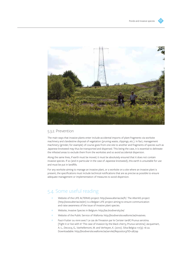

# 5.3.2. Prevention

The main ways that invasive plants enter include accidental imports of plant fragments via worksite machinery and clandestine disposal of vegetation (pruning waste, clippings, etc.). In fact, management machinery (grinder, for example) of course goes from one site to another and fragments of species such as Japanese knotweed may thus be transported and dispersed. This being the case, it is essential to delineate the infested areas to exclude them from the worksites and so avoid accidental dispersion.

Along the same lines, if earth must be moved, it must be absolutely ensured that it does not contain invasive species. If so (and in particular in the case of Japanese knotweed), this earth is unsuitable for use and must be put in landfills.

For any worksite aiming to manage an invasive plant, or a worksite on a site where an invasive plant is present, the specifications must include technical notifications that are as precise as possible to ensure adequate management or implementation of measures to avoid dispersion.

# 5.4. Some useful reading

- $\rightarrow$  Website of the LIFE ALTERIAS project: http://www.alterias.be/fr/. The AlterIAS project (http://www.alterias.be/en) is a Belgian LIFE project aiming to ensure communication and raise awareness of the issue of invasive plant species.
- $\rightarrow$  Website, Invasive Species in Belgium: http://ias.biodiversity.be/
- $\rightarrow$  Website of the Public Service of Wallonia: http://biodiversite.wallonie.be/invasives.
- $\rightarrow$  Faut-il lutter ou vivre avec? Le cas de l'invasion par le Cerisier tardif, Prunus serotina. [Fight it or live with it? The case of invasion by the black cherry, Prunus serotina] Jacquemart, A.-L., Decocq, G., Vanhellemont, M. and Verheyen, K. (2010). Silva Belgica 117(3): 16-22. Downloadable: http://biodiversite.wallonie.be/servlet/Repository/?ID=28799

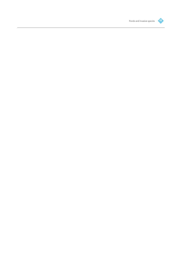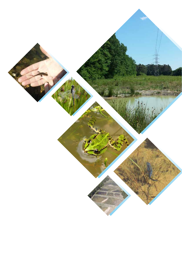